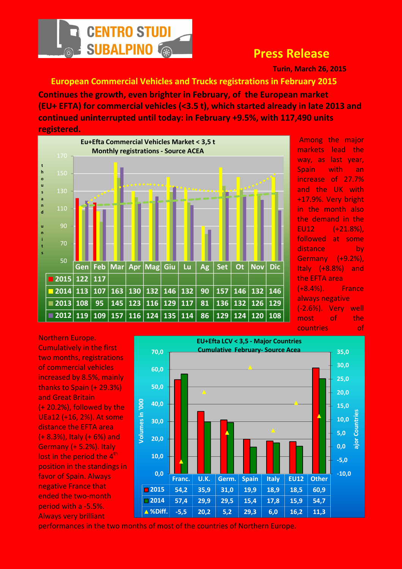

## Press Release

Turin, March 26, 2015

## European Commercial Vehicles and Trucks registrations in February 2015

Continues the growth, even brighter in February, of the European market (EU+ EFTA) for commercial vehicles (<3.5 t), which started already in late 2013 and continued uninterrupted until today: in February +9.5%, with 117,490 units registered.



 Among the major markets lead the way, as last year, Spain with an increase of 27.7% and the UK with +17.9%. Very bright in the month also the demand in the EU12 (+21.8%), followed at some distance by Germany (+9.2%), Italy (+8.8%) and the EFTA area (+8.4%). France always negative (-2.6%). Very well most of the countries of

Northern Europe. Cumulatively in the first two months, registrations of commercial vehicles increased by 8.5%, mainly thanks to Spain (+ 29.3%) and Great Britain (+ 20.2%), followed by the UEa12 (+16, 2%). At some distance the EFTA area (+ 8.3%), Italy (+ 6%) and Germany (+ 5.2%). Italy lost in the period the  $4<sup>th</sup>$ position in the standings in favor of Spain. Always negative France that ended the two-month period with a -5.5%. Always very brilliant



performances in the two months of most of the countries of Northern Europe.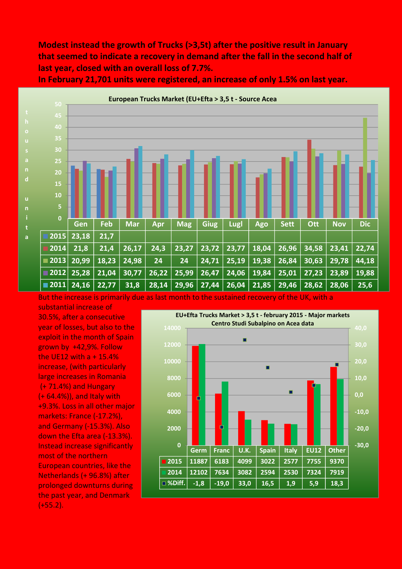Modest instead the growth of Trucks (>3,5t) after the positive result in January that seemed to indicate a recovery in demand after the fall in the second half of last year, closed with an overall loss of 7.7%.

In February 21,701 units were registered, an increase of only 1.5% on last year.



But the increase is primarily due as last month to the sustained recovery of the UK, with a

substantial increase of 30.5%, after a consecutive year of losses, but also to the exploit in the month of Spain grown by +42,9%. Follow the UE12 with  $a + 15.4%$ increase, (with particularly large increases in Romania (+ 71.4%) and Hungary (+ 64.4%)), and Italy with +9.3%. Loss in all other major markets: France (-17.2%), and Germany (-15.3%). Also down the Efta area (-13.3%). Instead increase significantly most of the northern European countries, like the Netherlands (+ 96.8%) after prolonged downturns during the past year, and Denmark (+55.2).

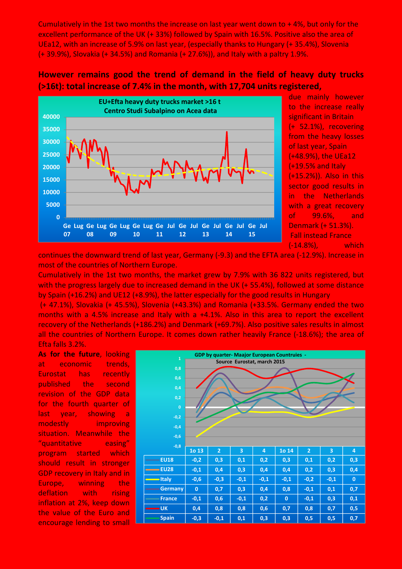Cumulatively in the 1st two months the increase on last year went down to + 4%, but only for the excellent performance of the UK (+ 33%) followed by Spain with 16.5%. Positive also the area of UEa12, with an increase of 5.9% on last year, (especially thanks to Hungary (+ 35.4%), Slovenia (+ 39.9%), Slovakia (+ 34.5%) and Romania (+ 27.6%)), and Italy with a paltry 1.9%.

## However remains good the trend of demand in the field of heavy duty trucks (>16t): total increase of 7.4% in the month, with 17,704 units registered,



due mainly however to the increase really significant in Britain (+ 52.1%), recovering from the heavy losses of last year, Spain (+48.9%), the UEa12 (+19.5% and Italy (+15.2%)). Also in this sector good results in in the Netherlands with a great recovery of 99.6%, and Denmark (+ 51.3%). Fall instead France (-14.8%), which

continues the downward trend of last year, Germany (-9.3) and the EFTA area (-12.9%). Increase in most of the countries of Northern Europe.

Cumulatively in the 1st two months, the market grew by 7.9% with 36 822 units registered, but with the progress largely due to increased demand in the UK (+ 55.4%), followed at some distance by Spain (+16.2%) and UE12 (+8.9%), the latter especially for the good results in Hungary

 (+ 47.1%), Slovakia (+ 45.5%), Slovenia (+43.3%) and Romania (+33.5%. Germany ended the two months with a 4.5% increase and Italy with a +4.1%. Also in this area to report the excellent recovery of the Netherlands (+186.2%) and Denmark (+69.7%). Also positive sales results in almost all the countries of Northern Europe. It comes down rather heavily France (-18.6%); the area of Efta falls 3.2%.

As for the future, looking at economic trends, Eurostat has recently published the second revision of the GDP data for the fourth quarter of last year, showing a modestly improving situation. Meanwhile the "quantitative easing" program started which should result in stronger GDP recovery in Italy and in Europe, winning the deflation with rising inflation at 2%, keep down the value of the Euro and encourage lending to small